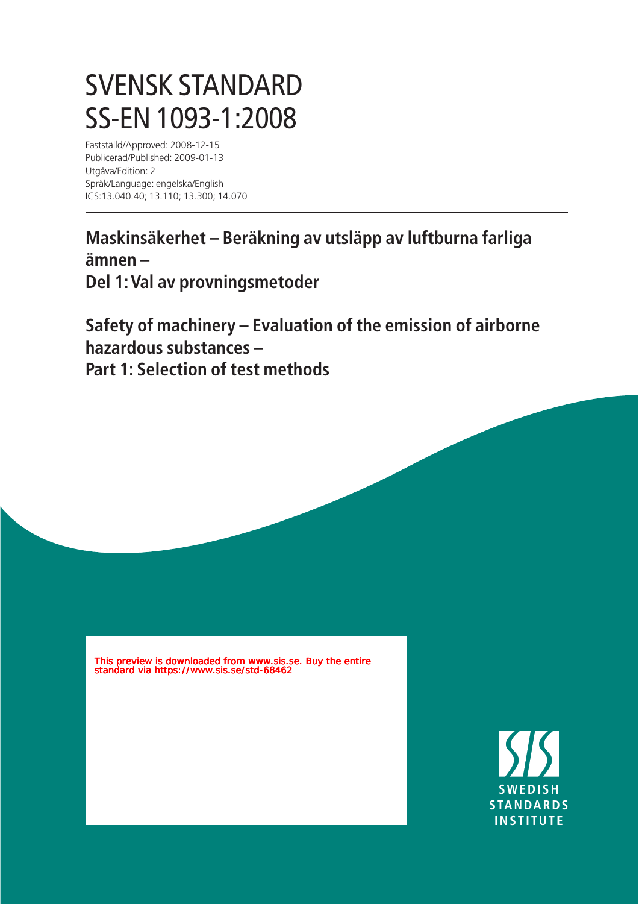# SVENSK STANDARD SS-EN 1093-1:2008

Fastställd/Approved: 2008-12-15 Publicerad/Published: 2009-01-13 Utgåva/Edition: 2 Språk/Language: engelska/English ICS:13.040.40; 13.110; 13.300; 14.070

**Maskinsäkerhet – Beräkning av utsläpp av luftburna farliga ämnen – Del 1: Val av provningsmetoder**

**Safety of machinery – Evaluation of the emission of airborne hazardous substances – Part 1: Selection of test methods**

This preview is downloaded from www.sis.se. Buy the entire standard via https://www.sis.se/std-68462

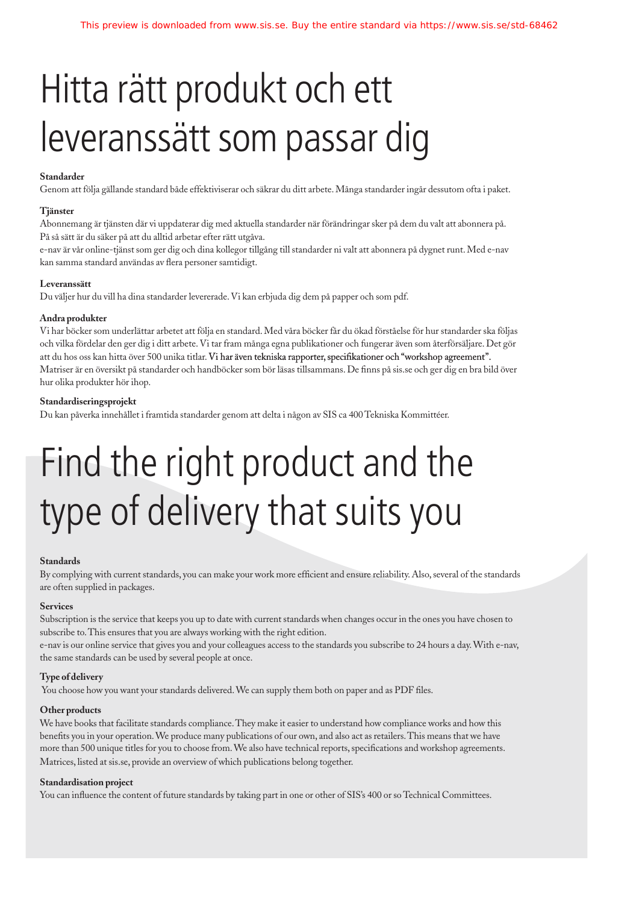# Hitta rätt produkt och ett leveranssätt som passar dig

#### **Standarder**

Genom att följa gällande standard både effektiviserar och säkrar du ditt arbete. Många standarder ingår dessutom ofta i paket.

#### **Tjänster**

Abonnemang är tjänsten där vi uppdaterar dig med aktuella standarder när förändringar sker på dem du valt att abonnera på. På så sätt är du säker på att du alltid arbetar efter rätt utgåva.

e-nav är vår online-tjänst som ger dig och dina kollegor tillgång till standarder ni valt att abonnera på dygnet runt. Med e-nav kan samma standard användas av flera personer samtidigt.

#### **Leveranssätt**

Du väljer hur du vill ha dina standarder levererade. Vi kan erbjuda dig dem på papper och som pdf.

#### **Andra produkter**

Vi har böcker som underlättar arbetet att följa en standard. Med våra böcker får du ökad förståelse för hur standarder ska följas och vilka fördelar den ger dig i ditt arbete. Vi tar fram många egna publikationer och fungerar även som återförsäljare. Det gör att du hos oss kan hitta över 500 unika titlar. Vi har även tekniska rapporter, specifikationer och "workshop agreement". Matriser är en översikt på standarder och handböcker som bör läsas tillsammans. De finns på sis.se och ger dig en bra bild över hur olika produkter hör ihop.

### **Standardiseringsprojekt**

Du kan påverka innehållet i framtida standarder genom att delta i någon av SIS ca 400 Tekniska Kommittéer.

# Find the right product and the type of delivery that suits you

#### **Standards**

By complying with current standards, you can make your work more efficient and ensure reliability. Also, several of the standards are often supplied in packages.

#### **Services**

Subscription is the service that keeps you up to date with current standards when changes occur in the ones you have chosen to subscribe to. This ensures that you are always working with the right edition.

e-nav is our online service that gives you and your colleagues access to the standards you subscribe to 24 hours a day. With e-nav, the same standards can be used by several people at once.

#### **Type of delivery**

You choose how you want your standards delivered. We can supply them both on paper and as PDF files.

#### **Other products**

We have books that facilitate standards compliance. They make it easier to understand how compliance works and how this benefits you in your operation. We produce many publications of our own, and also act as retailers. This means that we have more than 500 unique titles for you to choose from. We also have technical reports, specifications and workshop agreements. Matrices, listed at sis.se, provide an overview of which publications belong together.

#### **Standardisation project**

You can influence the content of future standards by taking part in one or other of SIS's 400 or so Technical Committees.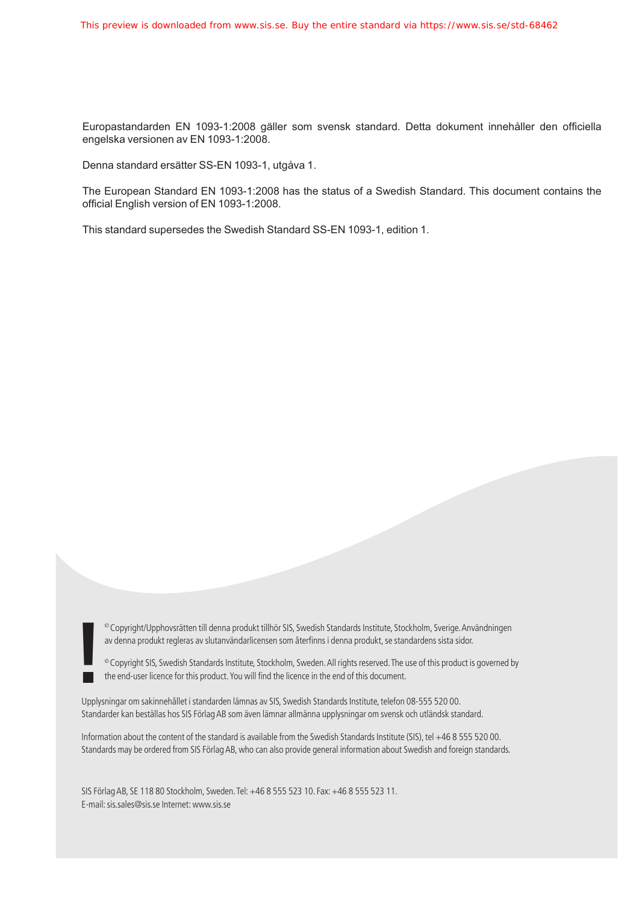Europastandarden EN 1093-1:2008 gäller som svensk standard. Detta dokument innehåller den officiella engelska versionen av EN 1093-1:2008.

Denna standard ersätter SS-EN 1093-1, utgåva 1.

The European Standard EN 1093-1:2008 has the status of a Swedish Standard. This document contains the official English version of EN 1093-1:2008.

This standard supersedes the Swedish Standard SS-EN 1093-1, edition 1.

av denna produkt regleras av slutanvändarlicensen som återfinns i denna produkt, se standardens sista sidor.

<sup>©</sup> Copyright/Upphovsrätten till denna produkt tillhör SIS, Swedish Standards Institute, Stockholm, Sverige. Användningen<br>av denna produkt regleras av slutanvändarlicensen som återfinns i denna produkt, se standardens sis

Upplysningar om sakinnehållet i standarden lämnas av SIS, Swedish Standards Institute, telefon 08-555 520 00. Standarder kan beställas hos SIS Förlag AB som även lämnar allmänna upplysningar om svensk och utländsk standard.

Information about the content of the standard is available from the Swedish Standards Institute (SIS), tel +46 8 555 520 00. Standards may be ordered from SIS Förlag AB, who can also provide general information about Swedish and foreign standards.

SIS Förlag AB, SE 118 80 Stockholm, Sweden. Tel: +46 8 555 523 10. Fax: +46 8 555 523 11. E-mail: sis.sales@sis.se Internet: www.sis.se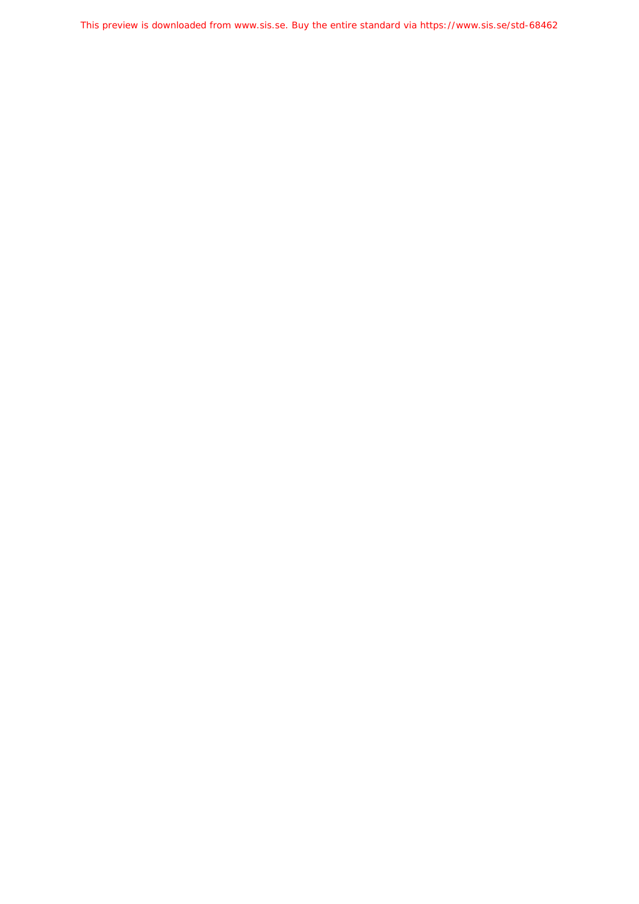This preview is downloaded from www.sis.se. Buy the entire standard via https://www.sis.se/std-68462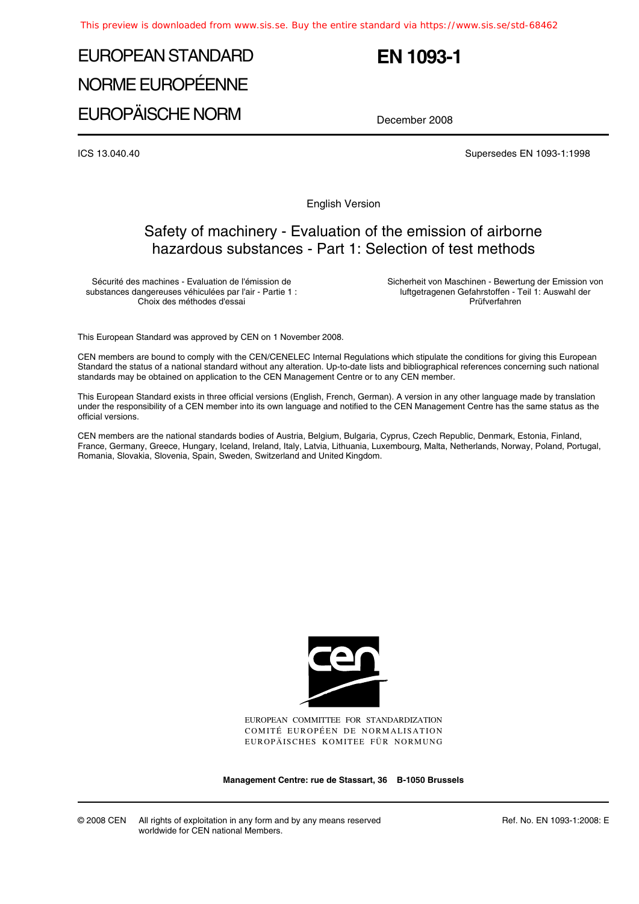# EUROPEAN STANDARD NORME EUROPÉENNE EUROPÄISCHE NORM

# **EN 1093-1**

December 2008

ICS 13.040.40 Supersedes EN 1093-1:1998

English Version

# Safety of machinery - Evaluation of the emission of airborne hazardous substances - Part 1: Selection of test methods

Sécurité des machines - Evaluation de l'émission de substances dangereuses véhiculées par l'air - Partie 1 : Choix des méthodes d'essai

Sicherheit von Maschinen - Bewertung der Emission von luftgetragenen Gefahrstoffen - Teil 1: Auswahl der Prüfverfahren

This European Standard was approved by CEN on 1 November 2008.

CEN members are bound to comply with the CEN/CENELEC Internal Regulations which stipulate the conditions for giving this European Standard the status of a national standard without any alteration. Up-to-date lists and bibliographical references concerning such national standards may be obtained on application to the CEN Management Centre or to any CEN member.

This European Standard exists in three official versions (English, French, German). A version in any other language made by translation under the responsibility of a CEN member into its own language and notified to the CEN Management Centre has the same status as the official versions.

CEN members are the national standards bodies of Austria, Belgium, Bulgaria, Cyprus, Czech Republic, Denmark, Estonia, Finland, France, Germany, Greece, Hungary, Iceland, Ireland, Italy, Latvia, Lithuania, Luxembourg, Malta, Netherlands, Norway, Poland, Portugal, Romania, Slovakia, Slovenia, Spain, Sweden, Switzerland and United Kingdom.



EUROPEAN COMMITTEE FOR STANDARDIZATION COMITÉ EUROPÉEN DE NORMALISATION EUROPÄISCHES KOMITEE FÜR NORMUNG

**Management Centre: rue de Stassart, 36 B-1050 Brussels**

© 2008 CEN All rights of exploitation in any form and by any means reserved worldwide for CEN national Members.

Ref. No. EN 1093-1:2008: E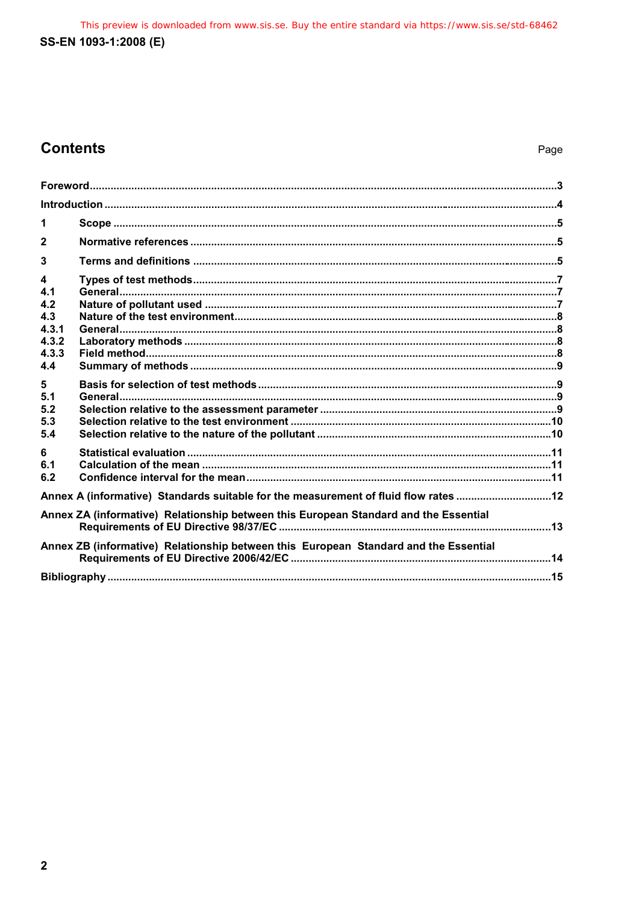This preview is downloaded from www.sis.se. Buy the entire standard via https://www.sis.se/std-68462 SS-EN 1093-1:2008 (E)

# **Contents**

| 1                              |                                                                                      |
|--------------------------------|--------------------------------------------------------------------------------------|
| $\mathbf{2}$                   |                                                                                      |
| 3                              |                                                                                      |
| 4<br>4.1<br>4.2<br>4.3         |                                                                                      |
| 4.3.1<br>4.3.2<br>4.3.3<br>4.4 |                                                                                      |
| 5<br>5.1<br>5.2<br>5.3<br>5.4  |                                                                                      |
| 6<br>6.1<br>6.2                |                                                                                      |
|                                | Annex A (informative) Standards suitable for the measurement of fluid flow rates 12  |
|                                | Annex ZA (informative) Relationship between this European Standard and the Essential |
|                                | Annex ZB (informative) Relationship between this European Standard and the Essential |
|                                |                                                                                      |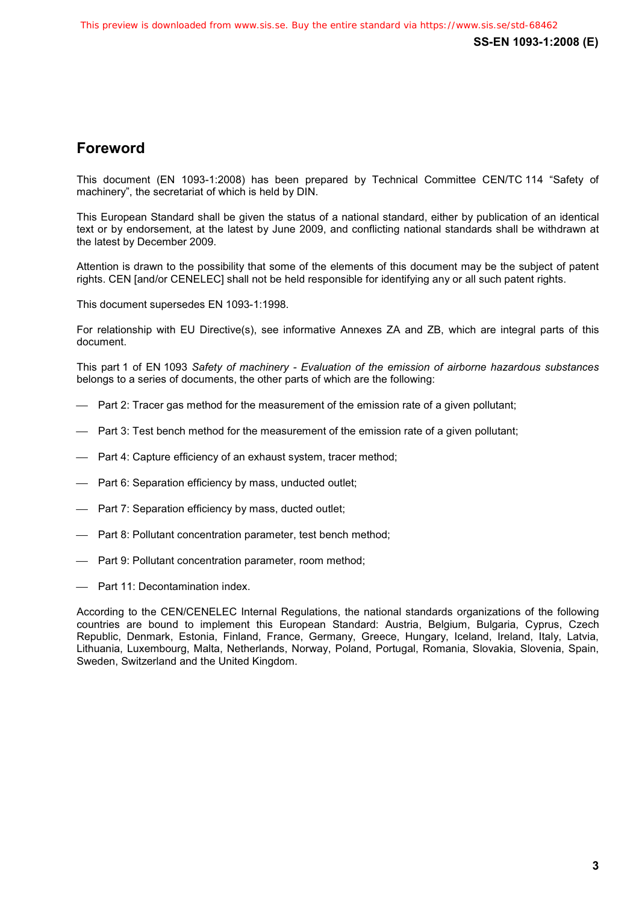# **Foreword**

This document (EN 1093-1:2008) has been prepared by Technical Committee CEN/TC 114 "Safety of machinery", the secretariat of which is held by DIN.

This European Standard shall be given the status of a national standard, either by publication of an identical text or by endorsement, at the latest by June 2009, and conflicting national standards shall be withdrawn at the latest by December 2009.

Attention is drawn to the possibility that some of the elements of this document may be the subject of patent rights. CEN [and/or CENELEC] shall not be held responsible for identifying any or all such patent rights.

This document supersedes EN 1093-1:1998.

For relationship with EU Directive(s), see informative Annexes ZA and ZB, which are integral parts of this document.

This part 1 of EN 1093 *Safety of machinery - Evaluation of the emission of airborne hazardous substances* belongs to a series of documents, the other parts of which are the following:

- Part 2: Tracer gas method for the measurement of the emission rate of a given pollutant;
- ~ Part 3: Test bench method for the measurement of the emission rate of a given pollutant;
- Part 4: Capture efficiency of an exhaust system, tracer method;
- Part 6: Separation efficiency by mass, unducted outlet;
- $-$  Part 7: Separation efficiency by mass, ducted outlet;
- Part 8: Pollutant concentration parameter, test bench method;
- Part 9: Pollutant concentration parameter, room method:
- $-$  Part 11: Decontamination index.

According to the CEN/CENELEC Internal Regulations, the national standards organizations of the following countries are bound to implement this European Standard: Austria, Belgium, Bulgaria, Cyprus, Czech Republic, Denmark, Estonia, Finland, France, Germany, Greece, Hungary, Iceland, Ireland, Italy, Latvia, Lithuania, Luxembourg, Malta, Netherlands, Norway, Poland, Portugal, Romania, Slovakia, Slovenia, Spain, Sweden, Switzerland and the United Kingdom.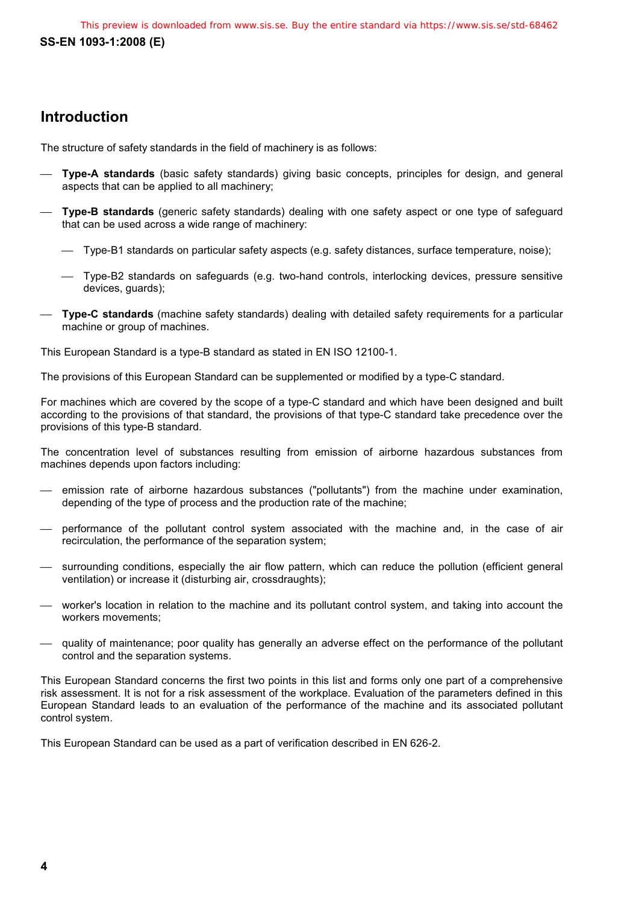# **Introduction**

The structure of safety standards in the field of machinery is as follows:

- ~ **Type-A standards** (basic safety standards) giving basic concepts, principles for design, and general aspects that can be applied to all machinery;
- ~ **Type-B standards** (generic safety standards) dealing with one safety aspect or one type of safeguard that can be used across a wide range of machinery:
	- ~ Type-B1 standards on particular safety aspects (e.g. safety distances, surface temperature, noise);
	- ~ Type-B2 standards on safeguards (e.g. two-hand controls, interlocking devices, pressure sensitive devices, guards);
- ~ **Type-C standards** (machine safety standards) dealing with detailed safety requirements for a particular machine or group of machines.

This European Standard is a type-B standard as stated in EN ISO 12100-1.

The provisions of this European Standard can be supplemented or modified by a type-C standard.

For machines which are covered by the scope of a type-C standard and which have been designed and built according to the provisions of that standard, the provisions of that type-C standard take precedence over the provisions of this type-B standard.

The concentration level of substances resulting from emission of airborne hazardous substances from machines depends upon factors including:

- emission rate of airborne hazardous substances ("pollutants") from the machine under examination, depending of the type of process and the production rate of the machine;
- performance of the pollutant control system associated with the machine and, in the case of air recirculation, the performance of the separation system;
- ~ surrounding conditions, especially the air flow pattern, which can reduce the pollution (efficient general ventilation) or increase it (disturbing air, crossdraughts);
- ~ worker's location in relation to the machine and its pollutant control system, and taking into account the workers movements;
- ~ quality of maintenance; poor quality has generally an adverse effect on the performance of the pollutant control and the separation systems.

This European Standard concerns the first two points in this list and forms only one part of a comprehensive risk assessment. It is not for a risk assessment of the workplace. Evaluation of the parameters defined in this European Standard leads to an evaluation of the performance of the machine and its associated pollutant control system.

This European Standard can be used as a part of verification described in EN 626-2.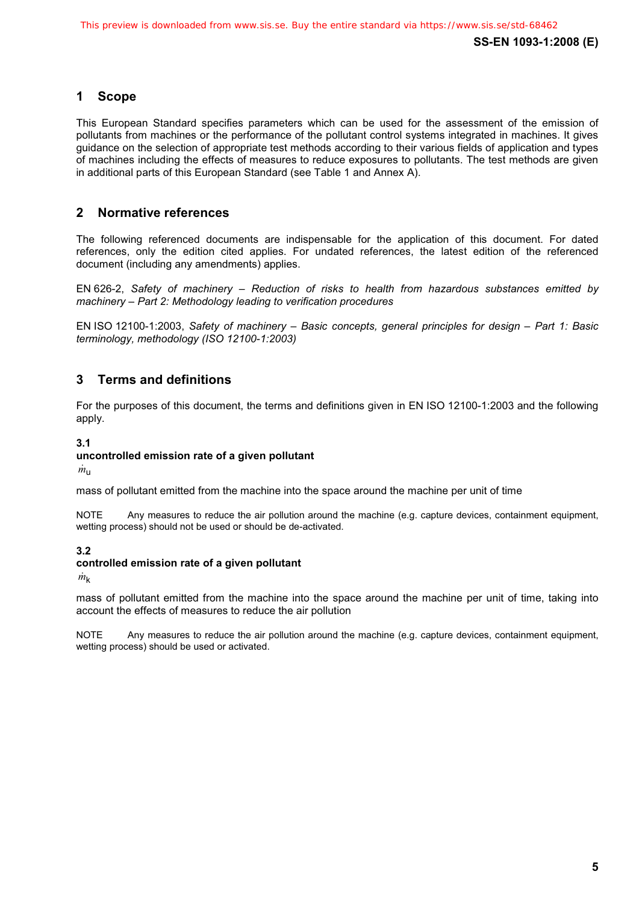# **1 Scope**

This European Standard specifies parameters which can be used for the assessment of the emission of pollutants from machines or the performance of the pollutant control systems integrated in machines. It gives guidance on the selection of appropriate test methods according to their various fields of application and types of machines including the effects of measures to reduce exposures to pollutants. The test methods are given in additional parts of this European Standard (see Table 1 and Annex A).

# **2 Normative references**

The following referenced documents are indispensable for the application of this document. For dated references, only the edition cited applies. For undated references, the latest edition of the referenced document (including any amendments) applies.

EN 626-2, *Safety of machinery – Reduction of risks to health from hazardous substances emitted by machinery – Part 2: Methodology leading to verification procedures*

EN ISO 12100-1:2003, *Safety of machinery – Basic concepts, general principles for design – Part 1: Basic terminology, methodology (ISO 12100-1:2003)*

# **3 Terms and definitions**

For the purposes of this document, the terms and definitions given in EN ISO 12100-1:2003 and the following apply.

# **3.1**

# **uncontrolled emission rate of a given pollutant**

 $m_{\rm H}$ 

mass of pollutant emitted from the machine into the space around the machine per unit of time

NOTE Any measures to reduce the air pollution around the machine (e.g. capture devices, containment equipment, wetting process) should not be used or should be de-activated.

# **3.2**

# **controlled emission rate of a given pollutant**

 $\dot{m}_k$ 

mass of pollutant emitted from the machine into the space around the machine per unit of time, taking into account the effects of measures to reduce the air pollution

NOTE Any measures to reduce the air pollution around the machine (e.g. capture devices, containment equipment, wetting process) should be used or activated.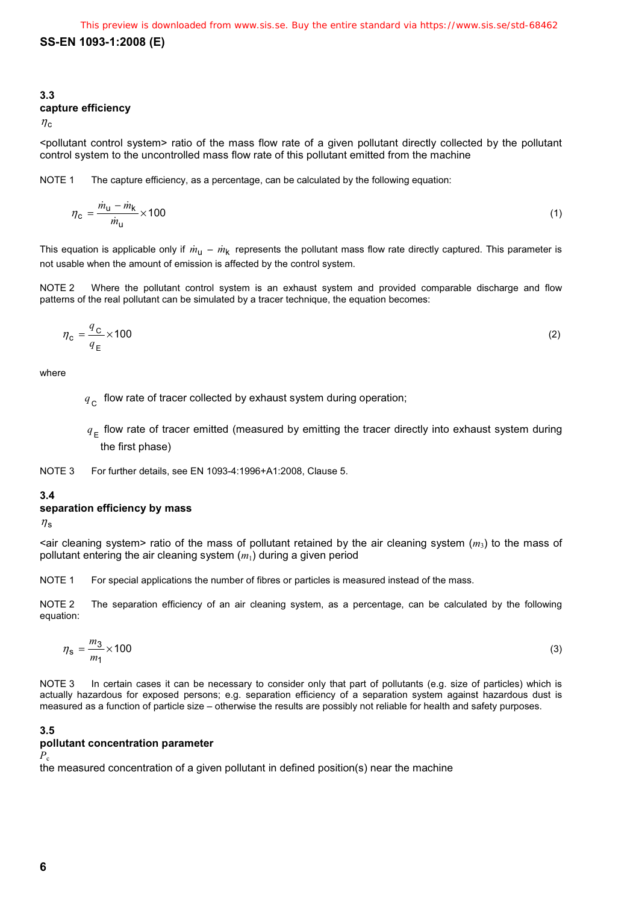# **3.3 capture efficiency**

 $\eta_c$ 

<pollutant control system> ratio of the mass flow rate of a given pollutant directly collected by the pollutant control system to the uncontrolled mass flow rate of this pollutant emitted from the machine

NOTE 1 The capture efficiency, as a percentage, can be calculated by the following equation:

$$
\eta_{\rm c} = \frac{\dot{m}_{\rm u} - \dot{m}_{\rm k}}{\dot{m}_{\rm u}} \times 100 \tag{1}
$$

This equation is applicable only if  $m_u - m_k$  represents the pollutant mass flow rate directly captured. This parameter is not usable when the amount of emission is affected by the control system.

NOTE 2 Where the pollutant control system is an exhaust system and provided comparable discharge and flow patterns of the real pollutant can be simulated by a tracer technique, the equation becomes:

$$
\eta_{\rm c} = \frac{q_{\rm c}}{q_{\rm E}} \times 100 \tag{2}
$$

where

 $q_c$  flow rate of tracer collected by exhaust system during operation;

- $q<sub>E</sub>$  flow rate of tracer emitted (measured by emitting the tracer directly into exhaust system during the first phase)
- NOTE 3 For further details, see EN 1093-4:1996+A1:2008, Clause 5.

## **3.4**

## **separation efficiency by mass**

 $\eta_s$ 

 $\leq$ air cleaning system> ratio of the mass of pollutant retained by the air cleaning system ( $m_3$ ) to the mass of pollutant entering the air cleaning system (*m*1) during a given period

NOTE 1 For special applications the number of fibres or particles is measured instead of the mass.

NOTE 2 The separation efficiency of an air cleaning system, as a percentage, can be calculated by the following equation:

$$
\eta_{\rm s} = \frac{m_3}{m_1} \times 100 \tag{3}
$$

NOTE 3 In certain cases it can be necessary to consider only that part of pollutants (e.g. size of particles) which is actually hazardous for exposed persons; e.g. separation efficiency of a separation system against hazardous dust is measured as a function of particle size – otherwise the results are possibly not reliable for health and safety purposes.

## **3.5**

# **pollutant concentration parameter**

 $P_c$ 

the measured concentration of a given pollutant in defined position(s) near the machine